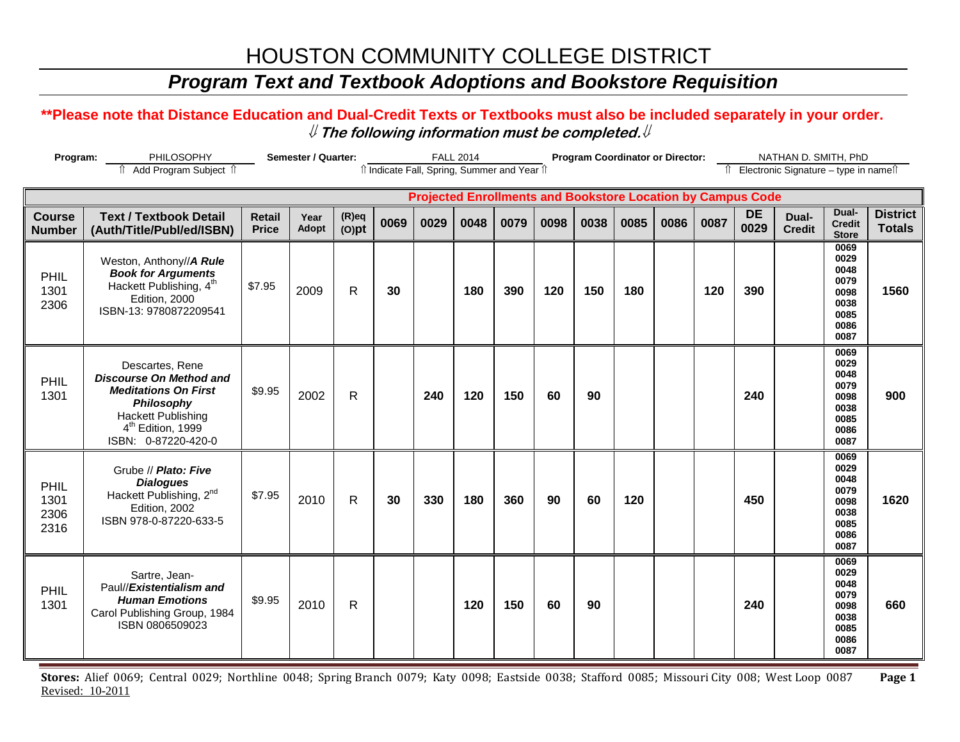## *Program Text and Textbook Adoptions and Bookstore Requisition*

#### **\*\*Please note that Distance Education and Dual-Credit Texts or Textbooks must also be included separately in your order.**  ⇓ **The following information must be completed.**⇓

| Program:                       | PHILOSOPHY                                                                                                                                                                                 |                               | Semester / Quarter: |                      |      |                                              | <b>FALL 2014</b> |      |      | <b>Program Coordinator or Director:</b>                            |      |      |      |                   | NATHAN D. SMITH, PhD                   |                                                                      |                                  |
|--------------------------------|--------------------------------------------------------------------------------------------------------------------------------------------------------------------------------------------|-------------------------------|---------------------|----------------------|------|----------------------------------------------|------------------|------|------|--------------------------------------------------------------------|------|------|------|-------------------|----------------------------------------|----------------------------------------------------------------------|----------------------------------|
|                                | î Add Program Subject î                                                                                                                                                                    |                               |                     |                      |      | îl Indicate Fall, Spring, Summer and Year îl |                  |      |      |                                                                    |      |      |      |                   | Î Electronic Signature - type in nameî |                                                                      |                                  |
|                                |                                                                                                                                                                                            |                               |                     |                      |      |                                              |                  |      |      | <b>Projected Enrollments and Bookstore Location by Campus Code</b> |      |      |      |                   |                                        |                                                                      |                                  |
| <b>Course</b><br><b>Number</b> | <b>Text / Textbook Detail</b><br>(Auth/Title/Publ/ed/ISBN)                                                                                                                                 | <b>Retail</b><br><b>Price</b> | Year<br>Adopt       | $(R)$ eq<br>$(O)$ pt | 0069 | 0029                                         | 0048             | 0079 | 0098 | 0038                                                               | 0085 | 0086 | 0087 | <b>DE</b><br>0029 | Dual-<br><b>Credit</b>                 | Dual-<br><b>Credit</b><br><b>Store</b>                               | <b>District</b><br><b>Totals</b> |
| PHIL<br>1301<br>2306           | Weston, Anthony//A Rule<br><b>Book for Arguments</b><br>Hackett Publishing, 4 <sup>th</sup><br>Edition, 2000<br>ISBN-13: 9780872209541                                                     | \$7.95                        | 2009                | $\mathsf{R}$         | 30   |                                              | 180              | 390  | 120  | 150                                                                | 180  |      | 120  | 390               |                                        | 0069<br>0029<br>0048<br>0079<br>0098<br>0038<br>0085<br>0086<br>0087 | 1560                             |
| PHIL<br>1301                   | Descartes, Rene<br><b>Discourse On Method and</b><br><b>Meditations On First</b><br><b>Philosophy</b><br><b>Hackett Publishing</b><br>4 <sup>th</sup> Edition, 1999<br>ISBN: 0-87220-420-0 | \$9.95                        | 2002                | $\mathsf{R}$         |      | 240                                          | 120              | 150  | 60   | 90                                                                 |      |      |      | 240               |                                        | 0069<br>0029<br>0048<br>0079<br>0098<br>0038<br>0085<br>0086<br>0087 | 900                              |
| PHIL<br>1301<br>2306<br>2316   | Grube // Plato: Five<br><b>Dialogues</b><br>Hackett Publishing, 2nd<br>Edition, 2002<br>ISBN 978-0-87220-633-5                                                                             | \$7.95                        | 2010                | $\mathsf{R}$         | 30   | 330                                          | 180              | 360  | 90   | 60                                                                 | 120  |      |      | 450               |                                        | 0069<br>0029<br>0048<br>0079<br>0098<br>0038<br>0085<br>0086<br>0087 | 1620                             |
| PHIL<br>1301                   | Sartre, Jean-<br>Paul//Existentialism and<br><b>Human Emotions</b><br>Carol Publishing Group, 1984<br>ISBN 0806509023                                                                      | \$9.95                        | 2010                | $\mathsf{R}$         |      |                                              | 120              | 150  | 60   | 90                                                                 |      |      |      | 240               |                                        | 0069<br>0029<br>0048<br>0079<br>0098<br>0038<br>0085<br>0086<br>0087 | 660                              |

**Stores:** Alief 0069; Central 0029; Northline 0048; Spring Branch 0079; Katy 0098; Eastside 0038; Stafford 0085; Missouri City 008; West Loop 0087 **Page 1** Revised: 10-2011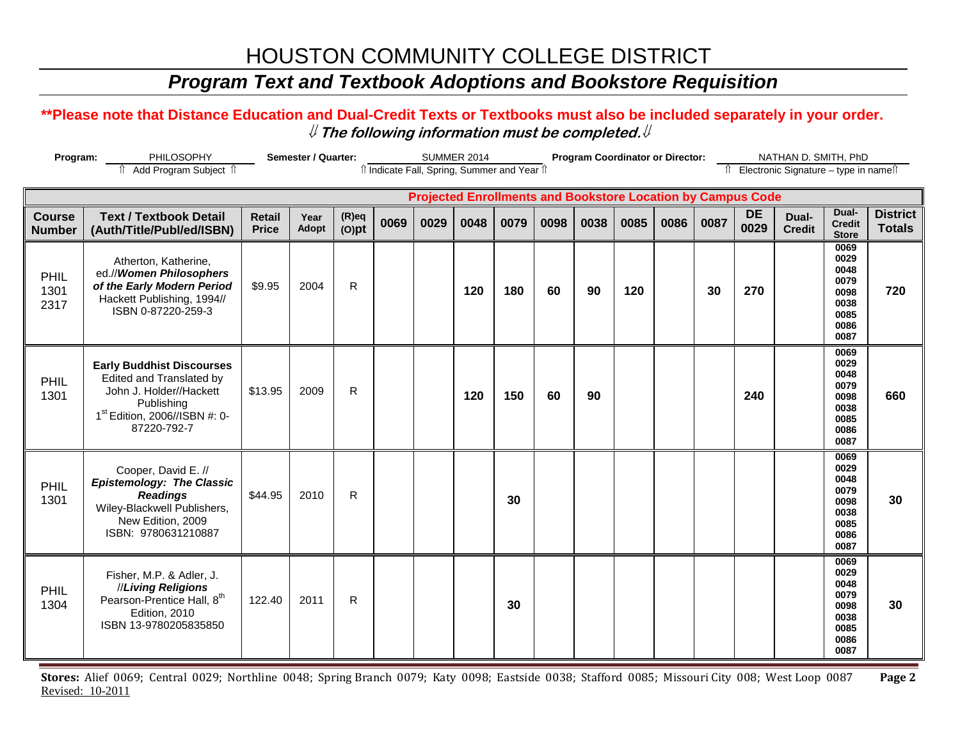## *Program Text and Textbook Adoptions and Bookstore Requisition*

#### **\*\*Please note that Distance Education and Dual-Credit Texts or Textbooks must also be included separately in your order.**  ⇓ **The following information must be completed.**⇓

| Program:                       | PHILOSOPHY                                                                                                                                                        | <b>Semester / Quarter:</b>    |               |                      | <b>SUMMER 2014</b> |                                              |      | <b>Program Coordinator or Director:</b> |      |                                                                    |      |      | NATHAN D. SMITH, PhD |                   |                                        |                                                                      |                                  |
|--------------------------------|-------------------------------------------------------------------------------------------------------------------------------------------------------------------|-------------------------------|---------------|----------------------|--------------------|----------------------------------------------|------|-----------------------------------------|------|--------------------------------------------------------------------|------|------|----------------------|-------------------|----------------------------------------|----------------------------------------------------------------------|----------------------------------|
|                                | Add Program Subject 1                                                                                                                                             |                               |               |                      |                    | îl Indicate Fall, Spring, Summer and Year îl |      |                                         |      |                                                                    |      |      |                      |                   | î Electronic Signature – type in nameî |                                                                      |                                  |
|                                |                                                                                                                                                                   |                               |               |                      |                    |                                              |      |                                         |      | <b>Projected Enrollments and Bookstore Location by Campus Code</b> |      |      |                      |                   |                                        |                                                                      |                                  |
| <b>Course</b><br><b>Number</b> | <b>Text / Textbook Detail</b><br>(Auth/Title/Publ/ed/ISBN)                                                                                                        | <b>Retail</b><br><b>Price</b> | Year<br>Adopt | $(R)$ eq<br>$(O)$ pt | 0069               | 0029                                         | 0048 | 0079                                    | 0098 | 0038                                                               | 0085 | 0086 | 0087                 | <b>DE</b><br>0029 | Dual-<br><b>Credit</b>                 | Dual-<br><b>Credit</b><br><b>Store</b>                               | <b>District</b><br><b>Totals</b> |
| PHIL<br>1301<br>2317           | Atherton, Katherine,<br>ed.//Women Philosophers<br>of the Early Modern Period<br>Hackett Publishing, 1994//<br>ISBN 0-87220-259-3                                 | \$9.95                        | 2004          | $\mathsf{R}$         |                    |                                              | 120  | 180                                     | 60   | 90                                                                 | 120  |      | 30                   | 270               |                                        | 0069<br>0029<br>0048<br>0079<br>0098<br>0038<br>0085<br>0086<br>0087 | 720                              |
| PHIL<br>1301                   | <b>Early Buddhist Discourses</b><br>Edited and Translated by<br>John J. Holder//Hackett<br>Publishing<br>1 <sup>st</sup> Edition, 2006//ISBN #: 0-<br>87220-792-7 | \$13.95                       | 2009          | $\mathsf{R}$         |                    |                                              | 120  | 150                                     | 60   | 90                                                                 |      |      |                      | 240               |                                        | 0069<br>0029<br>0048<br>0079<br>0098<br>0038<br>0085<br>0086<br>0087 | 660                              |
| PHIL<br>1301                   | Cooper, David E. //<br><b>Epistemology: The Classic</b><br><b>Readings</b><br>Wiley-Blackwell Publishers,<br>New Edition, 2009<br>ISBN: 9780631210887             | \$44.95                       | 2010          | $\mathsf{R}$         |                    |                                              |      | 30                                      |      |                                                                    |      |      |                      |                   |                                        | 0069<br>0029<br>0048<br>0079<br>0098<br>0038<br>0085<br>0086<br>0087 | 30                               |
| PHIL<br>1304                   | Fisher, M.P. & Adler, J.<br>//Living Religions<br>Pearson-Prentice Hall, 8 <sup>th</sup><br>Edition, 2010<br>ISBN 13-9780205835850                                | 122.40                        | 2011          | $\mathsf{R}$         |                    |                                              |      | 30                                      |      |                                                                    |      |      |                      |                   |                                        | 0069<br>0029<br>0048<br>0079<br>0098<br>0038<br>0085<br>0086<br>0087 | 30                               |

**Stores:** Alief 0069; Central 0029; Northline 0048; Spring Branch 0079; Katy 0098; Eastside 0038; Stafford 0085; Missouri City 008; West Loop 0087 **Page 2** Revised: 10-2011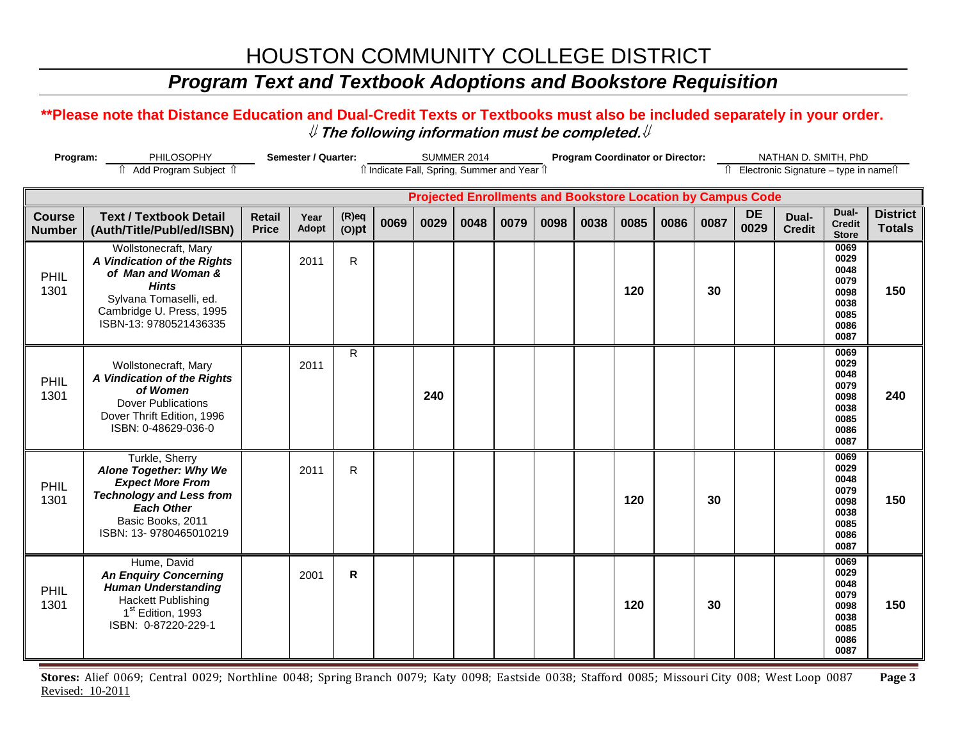## *Program Text and Textbook Adoptions and Bookstore Requisition*

#### **\*\*Please note that Distance Education and Dual-Credit Texts or Textbooks must also be included separately in your order.**  ⇓ **The following information must be completed.**⇓

| Program:<br>PHILOSOPHY<br>Add Program Subject 1 |                                                                                                                                                                            |                               | <b>Semester / Quarter:</b> |                      | îl Indicate Fall, Spring, Summer and Year îl |      | <b>SUMMER 2014</b> |      |      | <b>Program Coordinator or Director:</b> |      |      |      |                                                                    | NATHAN D. SMITH, PhD<br>↑ Electronic Signature - type in name |                                                                      |                                  |
|-------------------------------------------------|----------------------------------------------------------------------------------------------------------------------------------------------------------------------------|-------------------------------|----------------------------|----------------------|----------------------------------------------|------|--------------------|------|------|-----------------------------------------|------|------|------|--------------------------------------------------------------------|---------------------------------------------------------------|----------------------------------------------------------------------|----------------------------------|
|                                                 |                                                                                                                                                                            |                               |                            |                      |                                              |      |                    |      |      |                                         |      |      |      |                                                                    |                                                               |                                                                      |                                  |
|                                                 |                                                                                                                                                                            |                               |                            |                      |                                              |      |                    |      |      |                                         |      |      |      | <b>Projected Enrollments and Bookstore Location by Campus Code</b> |                                                               |                                                                      |                                  |
| <b>Course</b><br><b>Number</b>                  | <b>Text / Textbook Detail</b><br>(Auth/Title/Publ/ed/ISBN)                                                                                                                 | <b>Retail</b><br><b>Price</b> | Year<br>Adopt              | $(R)$ eq<br>$(O)$ pt | 0069                                         | 0029 | 0048               | 0079 | 0098 | 0038                                    | 0085 | 0086 | 0087 | <b>DE</b><br>0029                                                  | Dual-<br><b>Credit</b>                                        | Dual-<br><b>Credit</b><br><b>Store</b>                               | <b>District</b><br><b>Totals</b> |
| PHIL<br>1301                                    | Wollstonecraft, Mary<br>A Vindication of the Rights<br>of Man and Woman &<br><b>Hints</b><br>Sylvana Tomaselli, ed.<br>Cambridge U. Press, 1995<br>ISBN-13: 9780521436335  |                               | 2011                       | $\mathsf{R}$         |                                              |      |                    |      |      |                                         | 120  |      | 30   |                                                                    |                                                               | 0069<br>0029<br>0048<br>0079<br>0098<br>0038<br>0085<br>0086<br>0087 | 150                              |
| PHIL<br>1301                                    | Wollstonecraft, Mary<br>A Vindication of the Rights<br>of Women<br><b>Dover Publications</b><br>Dover Thrift Edition, 1996<br>ISBN: 0-48629-036-0                          |                               | 2011                       | R                    |                                              | 240  |                    |      |      |                                         |      |      |      |                                                                    |                                                               | 0069<br>0029<br>0048<br>0079<br>0098<br>0038<br>0085<br>0086<br>0087 | 240                              |
| PHIL<br>1301                                    | Turkle, Sherry<br>Alone Together: Why We<br><b>Expect More From</b><br><b>Technology and Less from</b><br><b>Each Other</b><br>Basic Books, 2011<br>ISBN: 13-9780465010219 |                               | 2011                       | $\mathsf{R}$         |                                              |      |                    |      |      |                                         | 120  |      | 30   |                                                                    |                                                               | 0069<br>0029<br>0048<br>0079<br>0098<br>0038<br>0085<br>0086<br>0087 | 150                              |
| PHIL<br>1301                                    | Hume, David<br><b>An Enquiry Concerning</b><br><b>Human Understanding</b><br><b>Hackett Publishing</b><br>1 <sup>st</sup> Edition, 1993<br>ISBN: 0-87220-229-1             |                               | 2001                       | $\mathsf{R}$         |                                              |      |                    |      |      |                                         | 120  |      | 30   |                                                                    |                                                               | 0069<br>0029<br>0048<br>0079<br>0098<br>0038<br>0085<br>0086<br>0087 | 150                              |

**Stores:** Alief 0069; Central 0029; Northline 0048; Spring Branch 0079; Katy 0098; Eastside 0038; Stafford 0085; Missouri City 008; West Loop 0087 **Page 3** Revised: 10-2011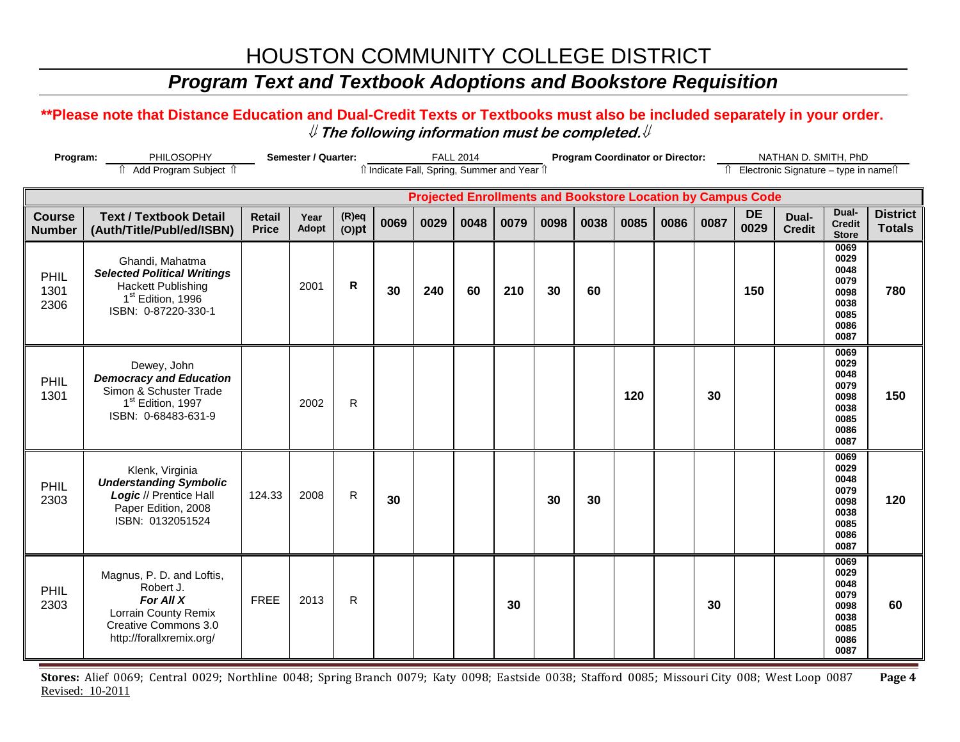## *Program Text and Textbook Adoptions and Bookstore Requisition*

#### **\*\*Please note that Distance Education and Dual-Credit Texts or Textbooks must also be included separately in your order.**  ⇓ **The following information must be completed.**⇓

| Program:                       | PHILOSOPHY                                                                                                                                 |                               | Semester / Quarter: |                      |      |                                              | <b>FALL 2014</b> |      |      |      | <b>Program Coordinator or Director:</b> |      |      |                                                                    | NATHAN D. SMITH, PhD                   |                                                                      |                                  |
|--------------------------------|--------------------------------------------------------------------------------------------------------------------------------------------|-------------------------------|---------------------|----------------------|------|----------------------------------------------|------------------|------|------|------|-----------------------------------------|------|------|--------------------------------------------------------------------|----------------------------------------|----------------------------------------------------------------------|----------------------------------|
|                                | Add Program Subject 1                                                                                                                      |                               |                     |                      |      | îl Indicate Fall, Spring, Summer and Year îl |                  |      |      |      |                                         |      |      |                                                                    | î Electronic Signature – type in nameî |                                                                      |                                  |
|                                |                                                                                                                                            |                               |                     |                      |      |                                              |                  |      |      |      |                                         |      |      | <b>Projected Enrollments and Bookstore Location by Campus Code</b> |                                        |                                                                      |                                  |
| <b>Course</b><br><b>Number</b> | <b>Text / Textbook Detail</b><br>(Auth/Title/Publ/ed/ISBN)                                                                                 | <b>Retail</b><br><b>Price</b> | Year<br>Adopt       | $(R)$ eq<br>$(O)$ pt | 0069 | 0029                                         | 0048             | 0079 | 0098 | 0038 | 0085                                    | 0086 | 0087 | <b>DE</b><br>0029                                                  | Dual-<br><b>Credit</b>                 | Dual-<br><b>Credit</b><br><b>Store</b>                               | <b>District</b><br><b>Totals</b> |
| PHIL<br>1301<br>2306           | Ghandi, Mahatma<br><b>Selected Political Writings</b><br><b>Hackett Publishing</b><br>1 <sup>st</sup> Edition, 1996<br>ISBN: 0-87220-330-1 |                               | 2001                | R                    | 30   | 240                                          | 60               | 210  | 30   | 60   |                                         |      |      | 150                                                                |                                        | 0069<br>0029<br>0048<br>0079<br>0098<br>0038<br>0085<br>0086<br>0087 | 780                              |
| PHIL<br>1301                   | Dewey, John<br><b>Democracy and Education</b><br>Simon & Schuster Trade<br>1 <sup>st</sup> Edition, 1997<br>ISBN: 0-68483-631-9            |                               | 2002                | ${\sf R}$            |      |                                              |                  |      |      |      | 120                                     |      | 30   |                                                                    |                                        | 0069<br>0029<br>0048<br>0079<br>0098<br>0038<br>0085<br>0086<br>0087 | 150                              |
| PHIL<br>2303                   | Klenk, Virginia<br><b>Understanding Symbolic</b><br>Logic // Prentice Hall<br>Paper Edition, 2008<br>ISBN: 0132051524                      | 124.33                        | 2008                | R                    | 30   |                                              |                  |      | 30   | 30   |                                         |      |      |                                                                    |                                        | 0069<br>0029<br>0048<br>0079<br>0098<br>0038<br>0085<br>0086<br>0087 | 120                              |
| PHIL<br>2303                   | Magnus, P. D. and Loftis,<br>Robert J.<br>For All X<br>Lorrain County Remix<br>Creative Commons 3.0<br>http://forallxremix.org/            | <b>FREE</b>                   | 2013                | $\mathsf{R}$         |      |                                              |                  | 30   |      |      |                                         |      | 30   |                                                                    |                                        | 0069<br>0029<br>0048<br>0079<br>0098<br>0038<br>0085<br>0086<br>0087 | 60                               |

**Stores:** Alief 0069; Central 0029; Northline 0048; Spring Branch 0079; Katy 0098; Eastside 0038; Stafford 0085; Missouri City 008; West Loop 0087 **Page 4** Revised: 10-2011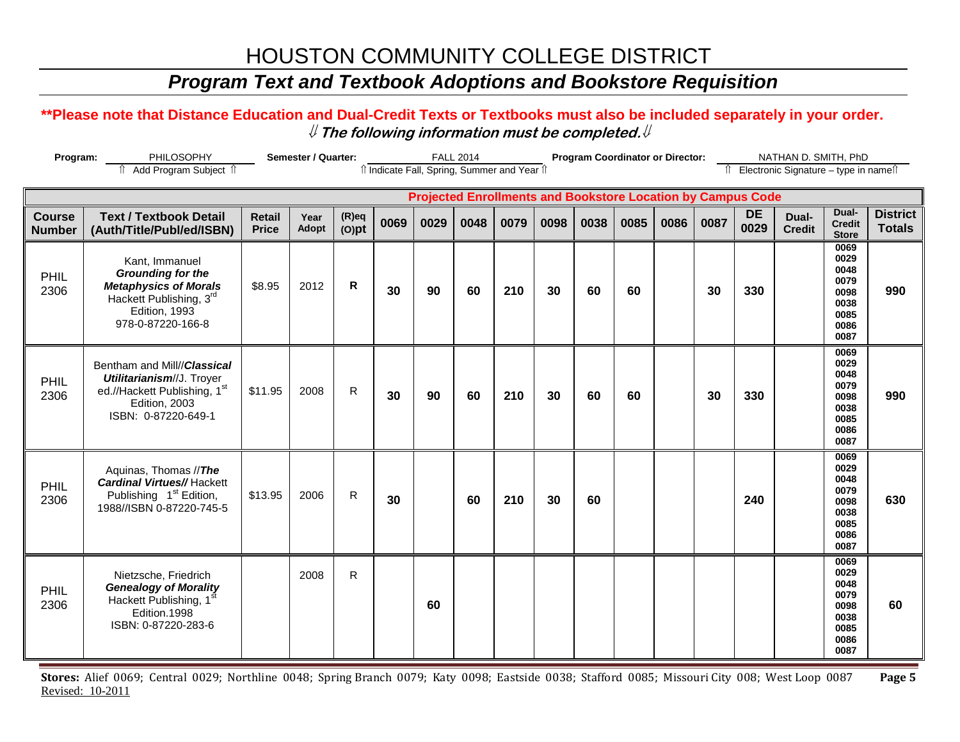## *Program Text and Textbook Adoptions and Bookstore Requisition*

#### **\*\*Please note that Distance Education and Dual-Credit Texts or Textbooks must also be included separately in your order.**  ⇓ **The following information must be completed.**⇓

| Semester / Quarter:<br>Program:<br>PHILOSOPHY<br>fî Add Program Subject îl |                                                                                                                                             |                               |               |                      |      |                                              | <b>FALL 2014</b> |      |      | <b>Program Coordinator or Director:</b>                            |      |      |      |                   | NATHAN D. SMITH, PhD                     |                                                                      |                                  |
|----------------------------------------------------------------------------|---------------------------------------------------------------------------------------------------------------------------------------------|-------------------------------|---------------|----------------------|------|----------------------------------------------|------------------|------|------|--------------------------------------------------------------------|------|------|------|-------------------|------------------------------------------|----------------------------------------------------------------------|----------------------------------|
|                                                                            |                                                                                                                                             |                               |               |                      |      | îl Indicate Fall, Spring, Summer and Year îl |                  |      |      |                                                                    |      |      |      |                   | Îl Electronic Signature - type in nameîl |                                                                      |                                  |
|                                                                            |                                                                                                                                             |                               |               |                      |      |                                              |                  |      |      | <b>Projected Enrollments and Bookstore Location by Campus Code</b> |      |      |      |                   |                                          |                                                                      |                                  |
| <b>Course</b><br><b>Number</b>                                             | <b>Text / Textbook Detail</b><br>(Auth/Title/Publ/ed/ISBN)                                                                                  | <b>Retail</b><br><b>Price</b> | Year<br>Adopt | $(R)$ eq<br>$(O)$ pt | 0069 | 0029                                         | 0048             | 0079 | 0098 | 0038                                                               | 0085 | 0086 | 0087 | <b>DE</b><br>0029 | Dual-<br><b>Credit</b>                   | Dual-<br><b>Credit</b><br><b>Store</b>                               | <b>District</b><br><b>Totals</b> |
| PHIL<br>2306                                                               | Kant, Immanuel<br><b>Grounding for the</b><br><b>Metaphysics of Morals</b><br>Hackett Publishing, 3rd<br>Edition, 1993<br>978-0-87220-166-8 | \$8.95                        | 2012          | R                    | 30   | 90                                           | 60               | 210  | 30   | 60                                                                 | 60   |      | 30   | 330               |                                          | 0069<br>0029<br>0048<br>0079<br>0098<br>0038<br>0085<br>0086<br>0087 | 990                              |
| PHIL<br>2306                                                               | Bentham and Mill//Classical<br>Utilitarianism//J. Troyer<br>ed.//Hackett Publishing, 1st<br>Edition, 2003<br>ISBN: 0-87220-649-1            | \$11.95                       | 2008          | $\mathsf{R}$         | 30   | 90                                           | 60               | 210  | 30   | 60                                                                 | 60   |      | 30   | 330               |                                          | 0069<br>0029<br>0048<br>0079<br>0098<br>0038<br>0085<br>0086<br>0087 | 990                              |
| PHIL<br>2306                                                               | Aquinas, Thomas //The<br><b>Cardinal Virtues//Hackett</b><br>Publishing 1 <sup>st</sup> Edition,<br>1988//ISBN 0-87220-745-5                | \$13.95                       | 2006          | R                    | 30   |                                              | 60               | 210  | 30   | 60                                                                 |      |      |      | 240               |                                          | 0069<br>0029<br>0048<br>0079<br>0098<br>0038<br>0085<br>0086<br>0087 | 630                              |
| PHIL<br>2306                                                               | Nietzsche, Friedrich<br><b>Genealogy of Morality</b><br>Hackett Publishing, 1<br>Edition.1998<br>ISBN: 0-87220-283-6                        |                               | 2008          | $\mathsf{R}$         |      | 60                                           |                  |      |      |                                                                    |      |      |      |                   |                                          | 0069<br>0029<br>0048<br>0079<br>0098<br>0038<br>0085<br>0086<br>0087 | 60                               |

**Stores:** Alief 0069; Central 0029; Northline 0048; Spring Branch 0079; Katy 0098; Eastside 0038; Stafford 0085; Missouri City 008; West Loop 0087 **Page 5** Revised: 10-2011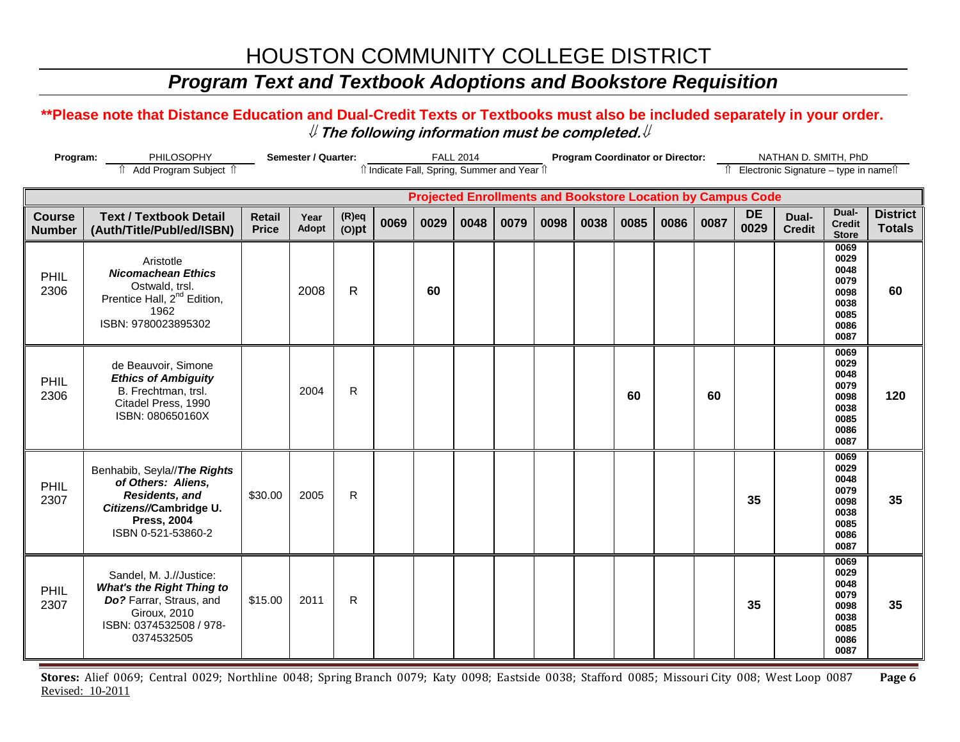## *Program Text and Textbook Adoptions and Bookstore Requisition*

#### **\*\*Please note that Distance Education and Dual-Credit Texts or Textbooks must also be included separately in your order.**  ⇓ **The following information must be completed.**⇓

| Program:                       | <b>Semester / Quarter:</b><br>PHILOSOPHY<br>Add Program Subject 1                                                                                      |                               |               |                      |      |                                                                    | <b>FALL 2014</b> |      |      | <b>Program Coordinator or Director:</b> |      |      |      |                   | NATHAN D. SMITH, PhD                   |                                                                      |                                  |
|--------------------------------|--------------------------------------------------------------------------------------------------------------------------------------------------------|-------------------------------|---------------|----------------------|------|--------------------------------------------------------------------|------------------|------|------|-----------------------------------------|------|------|------|-------------------|----------------------------------------|----------------------------------------------------------------------|----------------------------------|
|                                |                                                                                                                                                        |                               |               |                      |      | îl Indicate Fall, Spring, Summer and Year îl                       |                  |      |      |                                         |      |      |      |                   | î Electronic Signature - type in nameî |                                                                      |                                  |
|                                |                                                                                                                                                        |                               |               |                      |      | <b>Projected Enrollments and Bookstore Location by Campus Code</b> |                  |      |      |                                         |      |      |      |                   |                                        |                                                                      |                                  |
| <b>Course</b><br><b>Number</b> | <b>Text / Textbook Detail</b><br>(Auth/Title/Publ/ed/ISBN)                                                                                             | <b>Retail</b><br><b>Price</b> | Year<br>Adopt | $(R)$ eq<br>$(O)$ pt | 0069 | 0029                                                               | 0048             | 0079 | 0098 | 0038                                    | 0085 | 0086 | 0087 | <b>DE</b><br>0029 | Dual-<br><b>Credit</b>                 | Dual-<br><b>Credit</b><br><b>Store</b>                               | <b>District</b><br><b>Totals</b> |
| PHIL<br>2306                   | Aristotle<br><b>Nicomachean Ethics</b><br>Ostwald, trsl.<br>Prentice Hall, 2 <sup>nd</sup> Edition,<br>1962<br>ISBN: 9780023895302                     |                               | 2008          | R                    |      | 60                                                                 |                  |      |      |                                         |      |      |      |                   |                                        | 0069<br>0029<br>0048<br>0079<br>0098<br>0038<br>0085<br>0086<br>0087 | 60                               |
| PHIL<br>2306                   | de Beauvoir, Simone<br><b>Ethics of Ambiguity</b><br>B. Frechtman, trsl.<br>Citadel Press, 1990<br>ISBN: 080650160X                                    |                               | 2004          | $\mathsf{R}$         |      |                                                                    |                  |      |      |                                         | 60   |      | 60   |                   |                                        | 0069<br>0029<br>0048<br>0079<br>0098<br>0038<br>0085<br>0086<br>0087 | 120                              |
| PHIL<br>2307                   | Benhabib, Seyla//The Rights<br>of Others: Aliens,<br>Residents, and<br>Citizens//Cambridge U.<br><b>Press, 2004</b><br>ISBN 0-521-53860-2              | \$30.00                       | 2005          | $\mathsf{R}$         |      |                                                                    |                  |      |      |                                         |      |      |      | 35                |                                        | 0069<br>0029<br>0048<br>0079<br>0098<br>0038<br>0085<br>0086<br>0087 | 35                               |
| PHIL<br>2307                   | Sandel, M. J.//Justice:<br><b>What's the Right Thing to</b><br>Do? Farrar, Straus, and<br><b>Giroux, 2010</b><br>ISBN: 0374532508 / 978-<br>0374532505 | \$15.00                       | 2011          | $\mathsf{R}$         |      |                                                                    |                  |      |      |                                         |      |      |      | 35                |                                        | 0069<br>0029<br>0048<br>0079<br>0098<br>0038<br>0085<br>0086<br>0087 | 35                               |

**Stores:** Alief 0069; Central 0029; Northline 0048; Spring Branch 0079; Katy 0098; Eastside 0038; Stafford 0085; Missouri City 008; West Loop 0087 **Page 6** Revised: 10-2011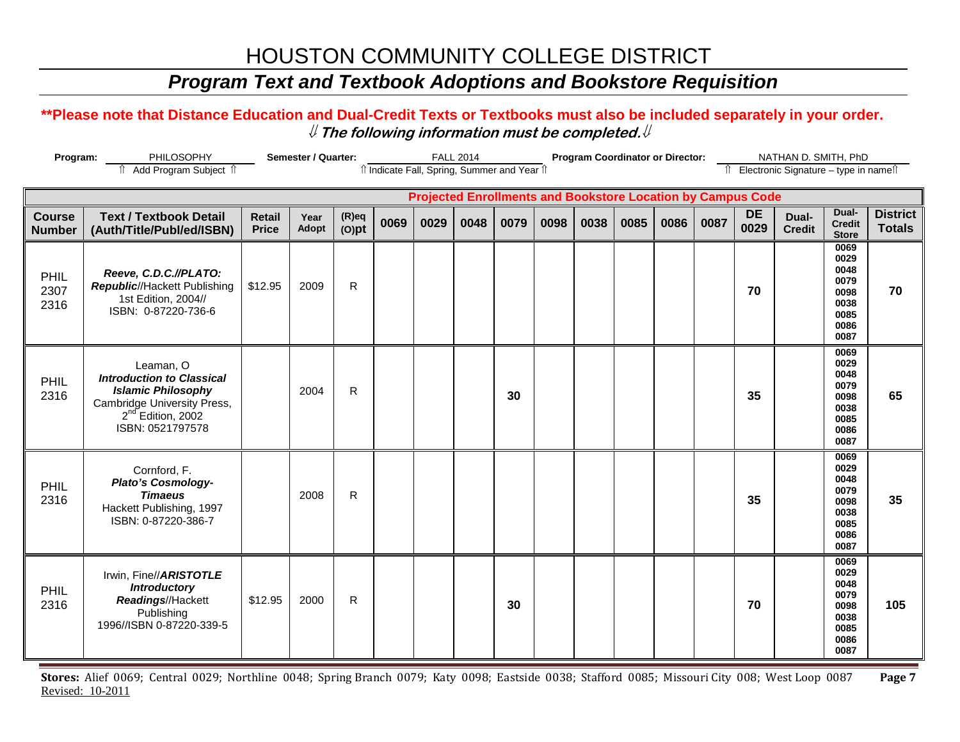## *Program Text and Textbook Adoptions and Bookstore Requisition*

#### **\*\*Please note that Distance Education and Dual-Credit Texts or Textbooks must also be included separately in your order.**  ⇓ **The following information must be completed.**⇓

| Semester / Quarter:<br>Program:<br>PHILOSOPHY<br>fî Add Program Subject fî |                                                                                                                                                                |                               |               |                      |      |                                                                    | <b>FALL 2014</b> |      |      |      | <b>Program Coordinator or Director:</b> |      |      |                   | NATHAN D. SMITH, PhD                     |                                                                      |                                  |
|----------------------------------------------------------------------------|----------------------------------------------------------------------------------------------------------------------------------------------------------------|-------------------------------|---------------|----------------------|------|--------------------------------------------------------------------|------------------|------|------|------|-----------------------------------------|------|------|-------------------|------------------------------------------|----------------------------------------------------------------------|----------------------------------|
|                                                                            |                                                                                                                                                                |                               |               |                      |      | îl Indicate Fall, Spring, Summer and Year îl                       |                  |      |      |      |                                         |      |      |                   | Îl Electronic Signature - type in nameîl |                                                                      |                                  |
|                                                                            |                                                                                                                                                                |                               |               |                      |      | <b>Projected Enrollments and Bookstore Location by Campus Code</b> |                  |      |      |      |                                         |      |      |                   |                                          |                                                                      |                                  |
| <b>Course</b><br><b>Number</b>                                             | <b>Text / Textbook Detail</b><br>(Auth/Title/Publ/ed/ISBN)                                                                                                     | <b>Retail</b><br><b>Price</b> | Year<br>Adopt | $(R)$ eq<br>$(O)$ pt | 0069 | 0029                                                               | 0048             | 0079 | 0098 | 0038 | 0085                                    | 0086 | 0087 | <b>DE</b><br>0029 | Dual-<br><b>Credit</b>                   | Dual-<br><b>Credit</b><br><b>Store</b>                               | <b>District</b><br><b>Totals</b> |
| PHIL<br>2307<br>2316                                                       | Reeve, C.D.C.//PLATO:<br><b>Republic//Hackett Publishing</b><br>1st Edition, 2004//<br>ISBN: 0-87220-736-6                                                     | \$12.95                       | 2009          | R                    |      |                                                                    |                  |      |      |      |                                         |      |      | 70                |                                          | 0069<br>0029<br>0048<br>0079<br>0098<br>0038<br>0085<br>0086<br>0087 | 70                               |
| PHIL<br>2316                                                               | Leaman, O<br><b>Introduction to Classical</b><br><b>Islamic Philosophy</b><br>Cambridge University Press,<br>2 <sup>nd</sup> Edition, 2002<br>ISBN: 0521797578 |                               | 2004          | $\mathsf{R}$         |      |                                                                    |                  | 30   |      |      |                                         |      |      | 35                |                                          | 0069<br>0029<br>0048<br>0079<br>0098<br>0038<br>0085<br>0086<br>0087 | 65                               |
| PHIL<br>2316                                                               | Cornford, F.<br>Plato's Cosmology-<br><b>Timaeus</b><br>Hackett Publishing, 1997<br>ISBN: 0-87220-386-7                                                        |                               | 2008          | R                    |      |                                                                    |                  |      |      |      |                                         |      |      | 35                |                                          | 0069<br>0029<br>0048<br>0079<br>0098<br>0038<br>0085<br>0086<br>0087 | 35                               |
| PHIL<br>2316                                                               | Irwin, Fine//ARISTOTLE<br><b>Introductory</b><br>Readings//Hackett<br>Publishing<br>1996//ISBN 0-87220-339-5                                                   | \$12.95                       | 2000          | $\mathsf{R}$         |      |                                                                    |                  | 30   |      |      |                                         |      |      | 70                |                                          | 0069<br>0029<br>0048<br>0079<br>0098<br>0038<br>0085<br>0086<br>0087 | 105                              |

**Stores:** Alief 0069; Central 0029; Northline 0048; Spring Branch 0079; Katy 0098; Eastside 0038; Stafford 0085; Missouri City 008; West Loop 0087 **Page 7** Revised: 10-2011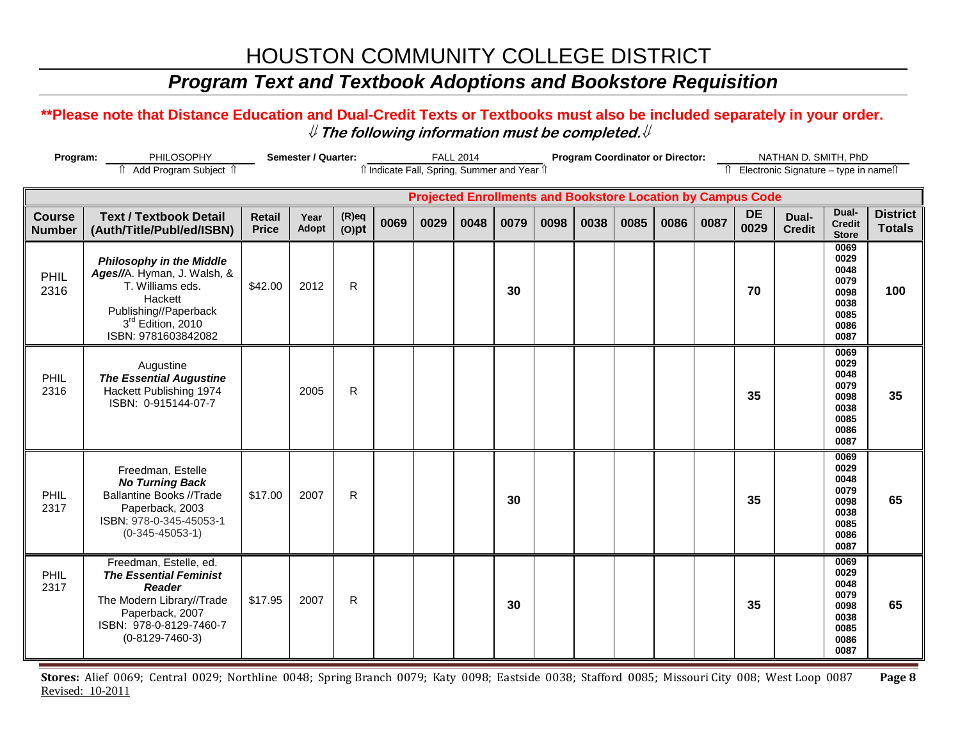## *Program Text and Textbook Adoptions and Bookstore Requisition*

#### **\*\*Please note that Distance Education and Dual-Credit Texts or Textbooks must also be included separately in your order.**  ⇓ **The following information must be completed.**⇓

| Program:                       | PHILOSOPHY                                                                                                                                                               | Semester / Quarter:           |               |                      |                                              |      | <b>FALL 2014</b> |      |      | <b>Program Coordinator or Director:</b> |      |      |                                                                    |                   | NATHAN D. SMITH, PhD                     |                                                                      |                                  |
|--------------------------------|--------------------------------------------------------------------------------------------------------------------------------------------------------------------------|-------------------------------|---------------|----------------------|----------------------------------------------|------|------------------|------|------|-----------------------------------------|------|------|--------------------------------------------------------------------|-------------------|------------------------------------------|----------------------------------------------------------------------|----------------------------------|
|                                | Add Program Subject 1                                                                                                                                                    |                               |               |                      | îl Indicate Fall, Spring, Summer and Year îl |      |                  |      |      |                                         |      |      |                                                                    |                   | Îl Electronic Signature - type in nameîl |                                                                      |                                  |
|                                |                                                                                                                                                                          |                               |               |                      |                                              |      |                  |      |      |                                         |      |      | <b>Projected Enrollments and Bookstore Location by Campus Code</b> |                   |                                          |                                                                      |                                  |
| <b>Course</b><br><b>Number</b> | <b>Text / Textbook Detail</b><br>(Auth/Title/Publ/ed/ISBN)                                                                                                               | <b>Retail</b><br><b>Price</b> | Year<br>Adopt | $(R)$ eq<br>$(O)$ pt | 0069                                         | 0029 | 0048             | 0079 | 0098 | 0038                                    | 0085 | 0086 | 0087                                                               | <b>DE</b><br>0029 | Dual-<br><b>Credit</b>                   | Dual-<br><b>Credit</b><br><b>Store</b>                               | <b>District</b><br><b>Totals</b> |
| PHIL<br>2316                   | <b>Philosophy in the Middle</b><br>Ages//A. Hyman, J. Walsh, &<br>T. Williams eds.<br>Hackett<br>Publishing//Paperback<br>3rd Edition, 2010<br>ISBN: 9781603842082       | \$42.00                       | 2012          | R                    |                                              |      |                  | 30   |      |                                         |      |      |                                                                    | 70                |                                          | 0069<br>0029<br>0048<br>0079<br>0098<br>0038<br>0085<br>0086<br>0087 | 100                              |
| PHIL<br>2316                   | Augustine<br><b>The Essential Augustine</b><br>Hackett Publishing 1974<br>ISBN: 0-915144-07-7                                                                            |                               | 2005          | R                    |                                              |      |                  |      |      |                                         |      |      |                                                                    | 35                |                                          | 0069<br>0029<br>0048<br>0079<br>0098<br>0038<br>0085<br>0086<br>0087 | 35                               |
| PHIL<br>2317                   | Freedman, Estelle<br><b>No Turning Back</b><br><b>Ballantine Books //Trade</b><br>Paperback, 2003<br>ISBN: 978-0-345-45053-1<br>$(0-345-45053-1)$                        | \$17.00                       | 2007          | R                    |                                              |      |                  | 30   |      |                                         |      |      |                                                                    | 35                |                                          | 0069<br>0029<br>0048<br>0079<br>0098<br>0038<br>0085<br>0086<br>0087 | 65                               |
| PHIL<br>2317                   | Freedman, Estelle, ed.<br><b>The Essential Feminist</b><br><b>Reader</b><br>The Modern Library//Trade<br>Paperback, 2007<br>ISBN: 978-0-8129-7460-7<br>$(0-8129-7460-3)$ | \$17.95                       | 2007          | R                    |                                              |      |                  | 30   |      |                                         |      |      |                                                                    | 35                |                                          | 0069<br>0029<br>0048<br>0079<br>0098<br>0038<br>0085<br>0086<br>0087 | 65                               |

**Stores:** Alief 0069; Central 0029; Northline 0048; Spring Branch 0079; Katy 0098; Eastside 0038; Stafford 0085; Missouri City 008; West Loop 0087 **Page 8** Revised: 10-2011